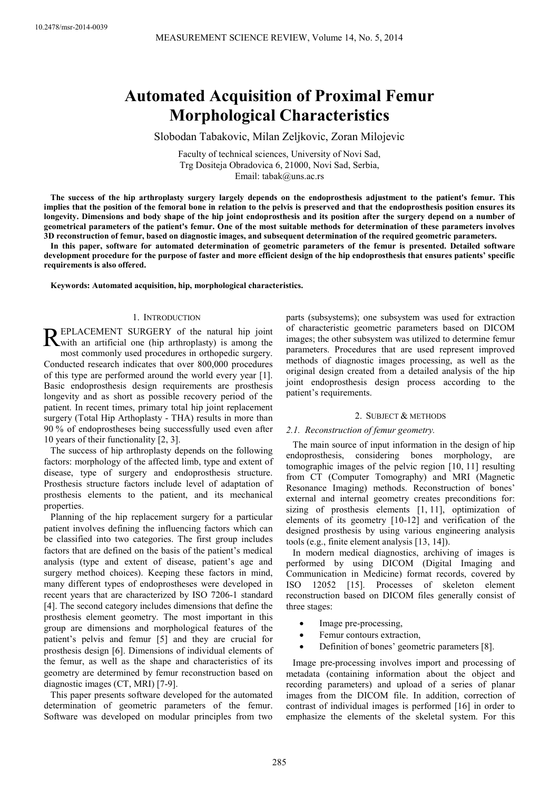# **Automated Acquisition of Proximal Femur Morphological Characteristics**

Slobodan Tabakovic, Milan Zeljkovic, Zoran Milojevic

Faculty of technical sciences, University of Novi Sad, Trg Dositeja Obradovica 6, 21000, Novi Sad, Serbia, Email: tabak@uns.ac.rs

**The success of the hip arthroplasty surgery largely depends on the endoprosthesis adjustment to the patient's femur. This implies that the position of the femoral bone in relation to the pelvis is preserved and that the endoprosthesis position ensures its longevity. Dimensions and body shape of the hip joint endoprosthesis and its position after the surgery depend on a number of geometrical parameters of the patient's femur. One of the most suitable methods for determination of these parameters involves 3D reconstruction of femur, based on diagnostic images, and subsequent determination of the required geometric parameters.** 

**In this paper, software for automated determination of geometric parameters of the femur is presented. Detailed software development procedure for the purpose of faster and more efficient design of the hip endoprosthesis that ensures patients' specific requirements is also offered.** 

**Keywords: Automated acquisition, hip, morphological characteristics.** 

#### 1. INTRODUCTION

EPLACEMENT SURGERY of the natural hip joint **REPLACEMENT SURGERY** of the natural hip joint with an artificial one (hip arthroplasty) is among the most commonly used procedures in orthopedic surgery. Conducted research indicates that over 800,000 procedures of this type are performed around the world every year [1]. Basic endoprosthesis design requirements are prosthesis longevity and as short as possible recovery period of the patient. In recent times, primary total hip joint replacement surgery (Total Hip Arthoplasty - THA) results in more than 90 % of endoprostheses being successfully used even after 10 years of their functionality [2, 3].

The success of hip arthroplasty depends on the following factors: morphology of the affected limb, type and extent of disease, type of surgery and endoprosthesis structure. Prosthesis structure factors include level of adaptation of prosthesis elements to the patient, and its mechanical properties.

Planning of the hip replacement surgery for a particular patient involves defining the influencing factors which can be classified into two categories. The first group includes factors that are defined on the basis of the patient's medical analysis (type and extent of disease, patient's age and surgery method choices). Keeping these factors in mind, many different types of endoprostheses were developed in recent years that are characterized by ISO 7206-1 standard [4]. The second category includes dimensions that define the prosthesis element geometry. The most important in this group are dimensions and morphological features of the patient's pelvis and femur [5] and they are crucial for prosthesis design [6]. Dimensions of individual elements of the femur, as well as the shape and characteristics of its geometry are determined by femur reconstruction based on diagnostic images (CT, MRI) [7-9].

This paper presents software developed for the automated determination of geometric parameters of the femur. Software was developed on modular principles from two parts (subsystems); one subsystem was used for extraction of characteristic geometric parameters based on DICOM images; the other subsystem was utilized to determine femur parameters. Procedures that are used represent improved methods of diagnostic images processing, as well as the original design created from a detailed analysis of the hip joint endoprosthesis design process according to the patient's requirements.

#### 2. SUBJECT & METHODS

#### *2.1. Reconstruction of femur geometry.*

The main source of input information in the design of hip endoprosthesis, considering bones morphology, are tomographic images of the pelvic region [10, 11] resulting from CT (Computer Tomography) and MRI (Magnetic Resonance Imaging) methods. Reconstruction of bones' external and internal geometry creates preconditions for: sizing of prosthesis elements [1, 11], optimization of elements of its geometry [10-12] and verification of the designed prosthesis by using various engineering analysis tools (e.g., finite element analysis [13, 14]).

In modern medical diagnostics, archiving of images is performed by using DICOM (Digital Imaging and Communication in Medicine) format records, covered by ISO 12052 [15]. Processes of skeleton element reconstruction based on DICOM files generally consist of three stages:

- Image pre-processing,
- Femur contours extraction,
- Definition of bones' geometric parameters [8].

Image pre-processing involves import and processing of metadata (containing information about the object and recording parameters) and upload of a series of planar images from the DICOM file. In addition, correction of contrast of individual images is performed [16] in order to emphasize the elements of the skeletal system. For this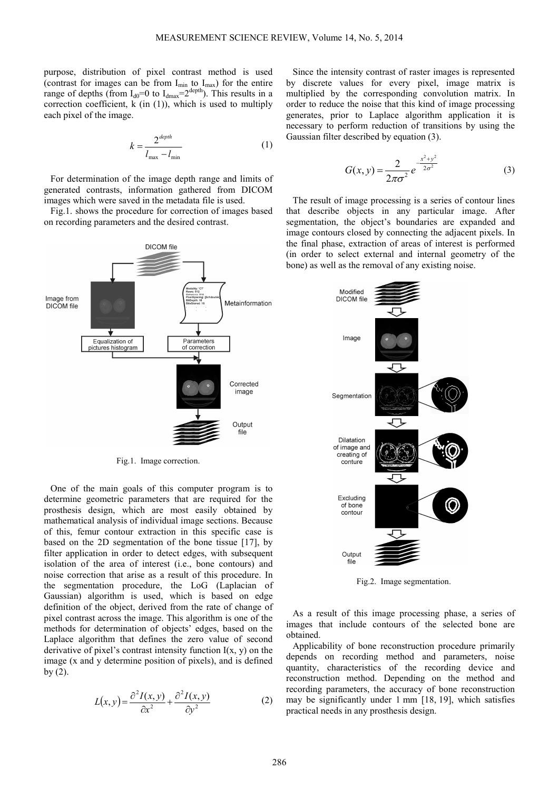purpose, distribution of pixel contrast method is used (contrast for images can be from  $I_{min}$  to  $I_{max}$ ) for the entire range of depths (from  $I_{d0}=0$  to  $I_{dmax}=2^{depth}$ ). This results in a correction coefficient, k (in (1)), which is used to multiply each pixel of the image.

$$
k = \frac{2^{deph}}{l_{\text{max}} - l_{\text{min}}}
$$
 (1)

For determination of the image depth range and limits of generated contrasts, information gathered from DICOM images which were saved in the metadata file is used.

Fig.1. shows the procedure for correction of images based on recording parameters and the desired contrast.



Fig.1. Image correction.

One of the main goals of this computer program is to determine geometric parameters that are required for the prosthesis design, which are most easily obtained by mathematical analysis of individual image sections. Because of this, femur contour extraction in this specific case is based on the 2D segmentation of the bone tissue [17], by filter application in order to detect edges, with subsequent isolation of the area of interest (i.e., bone contours) and noise correction that arise as a result of this procedure. In the segmentation procedure, the LoG (Laplacian of Gaussian) algorithm is used, which is based on edge definition of the object, derived from the rate of change of pixel contrast across the image. This algorithm is one of the methods for determination of objects' edges, based on the Laplace algorithm that defines the zero value of second derivative of pixel's contrast intensity function  $I(x, y)$  on the image (x and y determine position of pixels), and is defined by (2).

$$
L(x, y) = \frac{\partial^2 I(x, y)}{\partial x^2} + \frac{\partial^2 I(x, y)}{\partial y^2}
$$
 (2)

Since the intensity contrast of raster images is represented by discrete values for every pixel, image matrix is multiplied by the corresponding convolution matrix. In order to reduce the noise that this kind of image processing generates, prior to Laplace algorithm application it is necessary to perform reduction of transitions by using the Gaussian filter described by equation (3).

$$
G(x, y) = \frac{2}{2\pi\sigma^2} e^{-\frac{x^2 + y^2}{2\sigma^2}}
$$
 (3)

The result of image processing is a series of contour lines that describe objects in any particular image. After segmentation, the object's boundaries are expanded and image contours closed by connecting the adjacent pixels. In the final phase, extraction of areas of interest is performed (in order to select external and internal geometry of the bone) as well as the removal of any existing noise.



Fig.2. Image segmentation.

As a result of this image processing phase, a series of images that include contours of the selected bone are obtained.

Applicability of bone reconstruction procedure primarily depends on recording method and parameters, noise quantity, characteristics of the recording device and reconstruction method. Depending on the method and recording parameters, the accuracy of bone reconstruction may be significantly under 1 mm [18, 19], which satisfies practical needs in any prosthesis design.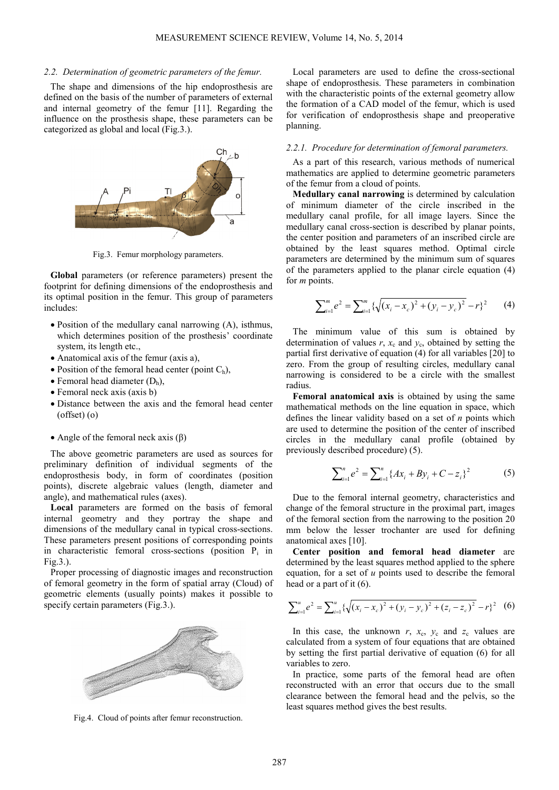#### *2.2. Determination of geometric parameters of the femur.*

The shape and dimensions of the hip endoprosthesis are defined on the basis of the number of parameters of external and internal geometry of the femur [11]. Regarding the influence on the prosthesis shape, these parameters can be categorized as global and local (Fig.3.).



Fig.3. Femur morphology parameters.

**Global** parameters (or reference parameters) present the footprint for defining dimensions of the endoprosthesis and its optimal position in the femur. This group of parameters includes:

- Position of the medullary canal narrowing (A), isthmus, which determines position of the prosthesis' coordinate system, its length etc.,
- Anatomical axis of the femur (axis a),
- Position of the femoral head center (point  $C_h$ ),
- Femoral head diameter  $(D_h)$ ,
- Femoral neck axis (axis b)
- Distance between the axis and the femoral head center (offset) (o)
- Angle of the femoral neck axis  $(\beta)$

The above geometric parameters are used as sources for preliminary definition of individual segments of the endoprosthesis body, in form of coordinates (position points), discrete algebraic values (length, diameter and angle), and mathematical rules (axes).

**Local** parameters are formed on the basis of femoral internal geometry and they portray the shape and dimensions of the medullary canal in typical cross-sections. These parameters present positions of corresponding points in characteristic femoral cross-sections (position P<sub>i</sub> in Fig.3.).

Proper processing of diagnostic images and reconstruction of femoral geometry in the form of spatial array (Cloud) of geometric elements (usually points) makes it possible to specify certain parameters (Fig.3.).



Fig.4. Cloud of points after femur reconstruction.

Local parameters are used to define the cross-sectional shape of endoprosthesis. These parameters in combination with the characteristic points of the external geometry allow the formation of a CAD model of the femur, which is used for verification of endoprosthesis shape and preoperative planning.

#### *2.2.1. Procedure for determination of femoral parameters.*

As a part of this research, various methods of numerical mathematics are applied to determine geometric parameters of the femur from a cloud of points.

**Medullary canal narrowing** is determined by calculation of minimum diameter of the circle inscribed in the medullary canal profile, for all image layers. Since the medullary canal cross-section is described by planar points, the center position and parameters of an inscribed circle are obtained by the least squares method. Optimal circle parameters are determined by the minimum sum of squares of the parameters applied to the planar circle equation (4) for *m* points.

$$
\sum_{i=1}^{m} e^{2} = \sum_{i=1}^{m} \left\{ \sqrt{(x_i - x_c)^2 + (y_i - y_c)^2} - r \right\}^2 \tag{4}
$$

The minimum value of this sum is obtained by determination of values  $r$ ,  $x_c$  and  $y_c$ , obtained by setting the partial first derivative of equation (4) for all variables [20] to zero. From the group of resulting circles, medullary canal narrowing is considered to be a circle with the smallest radius.

**Femoral anatomical axis** is obtained by using the same mathematical methods on the line equation in space, which defines the linear validity based on a set of *n* points which are used to determine the position of the center of inscribed circles in the medullary canal profile (obtained by previously described procedure) (5).

$$
\sum_{i=1}^{n} e^{2} = \sum_{i=1}^{n} \{Ax_{i} + By_{i} + C - z_{i}\}^{2}
$$
 (5)

Due to the femoral internal geometry, characteristics and change of the femoral structure in the proximal part, images of the femoral section from the narrowing to the position 20 mm below the lesser trochanter are used for defining anatomical axes [10].

**Center position and femoral head diameter** are determined by the least squares method applied to the sphere equation, for a set of *u* points used to describe the femoral head or a part of it (6).

$$
\sum_{i=1}^{u} e^{2} = \sum_{i=1}^{u} \left\{ \sqrt{(x_{i} - x_{c})^{2} + (y_{i} - y_{c})^{2} + (z_{i} - z_{c})^{2}} - r \right\}^{2} (6)
$$

In this case, the unknown  $r$ ,  $x_c$ ,  $y_c$  and  $z_c$  values are calculated from a system of four equations that are obtained by setting the first partial derivative of equation (6) for all variables to zero.

In practice, some parts of the femoral head are often reconstructed with an error that occurs due to the small clearance between the femoral head and the pelvis, so the least squares method gives the best results.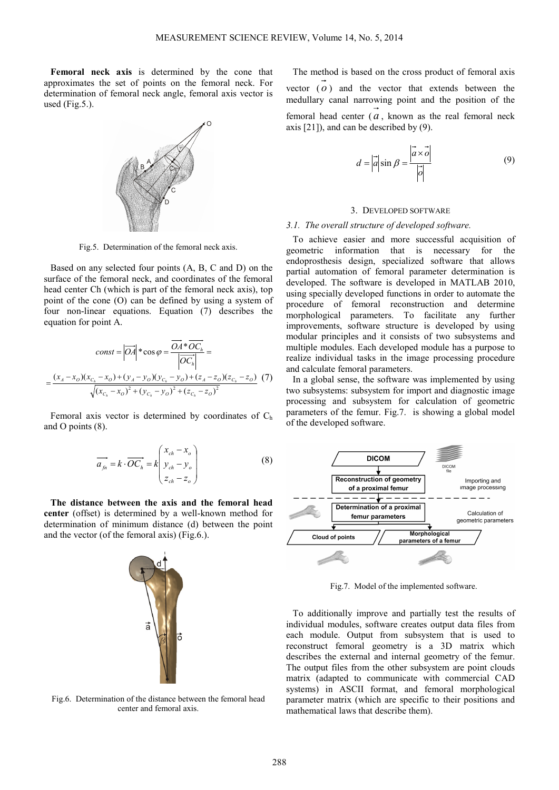**Femoral neck axis** is determined by the cone that approximates the set of points on the femoral neck. For determination of femoral neck angle, femoral axis vector is used  $(Fig.5.)$ .



Fig.5. Determination of the femoral neck axis.

Based on any selected four points (A, B, C and D) on the surface of the femoral neck, and coordinates of the femoral head center Ch (which is part of the femoral neck axis), top point of the cone (O) can be defined by using a system of four non-linear equations. Equation (7) describes the equation for point A.

$$
const = |\overrightarrow{OA}| * \cos \varphi = \frac{\overrightarrow{OA} * \overrightarrow{OC_h}}{|\overrightarrow{OC_h}|} =
$$
  
= 
$$
\frac{(x_A - x_o)(x_{C_h} - x_o) + (y_A - y_o)(y_{C_h} - y_o) + (z_A - z_o)(z_{C_h} - z_o)}{\sqrt{(x_{C_h} - x_o)^2 + (y_{C_h} - y_o)^2 + (z_{C_h} - z_o)^2}}
$$
 (7)

Femoral axis vector is determined by coordinates of  $C<sub>h</sub>$ and O points (8).

$$
\overrightarrow{a_{fn}} = k \cdot \overrightarrow{OC_n} = k \begin{pmatrix} x_{ch} - x_o \\ y_{ch} - y_o \\ z_{ch} - z_o \end{pmatrix}
$$
 (8)

**The distance between the axis and the femoral head center** (offset) is determined by a well-known method for determination of minimum distance (d) between the point and the vector (of the femoral axis) (Fig.6.).



Fig.6. Determination of the distance between the femoral head center and femoral axis.

The method is based on the cross product of femoral axis vector  $(0)$  and the vector that extends between the medullary canal narrowing point and the position of the femoral head center  $(a,$  known as the real femoral neck axis [21]), and can be described by (9).

$$
d = |\vec{a}| \sin \beta = \frac{|\vec{a} \times \vec{o}|}{|\vec{o}|}
$$
 (9)

## 3. DEVELOPED SOFTWARE

#### *3.1. The overall structure of developed software.*

To achieve easier and more successful acquisition of geometric information that is necessary for the endoprosthesis design, specialized software that allows partial automation of femoral parameter determination is developed. The software is developed in MATLAB 2010, using specially developed functions in order to automate the procedure of femoral reconstruction and determine morphological parameters. To facilitate any further improvements, software structure is developed by using modular principles and it consists of two subsystems and multiple modules. Each developed module has a purpose to realize individual tasks in the image processing procedure and calculate femoral parameters.

In a global sense, the software was implemented by using two subsystems: subsystem for import and diagnostic image processing and subsystem for calculation of geometric parameters of the femur. Fig.7. is showing a global model of the developed software.



Fig.7. Model of the implemented software.

To additionally improve and partially test the results of individual modules, software creates output data files from each module. Output from subsystem that is used to reconstruct femoral geometry is a 3D matrix which describes the external and internal geometry of the femur. The output files from the other subsystem are point clouds matrix (adapted to communicate with commercial CAD systems) in ASCII format, and femoral morphological parameter matrix (which are specific to their positions and mathematical laws that describe them).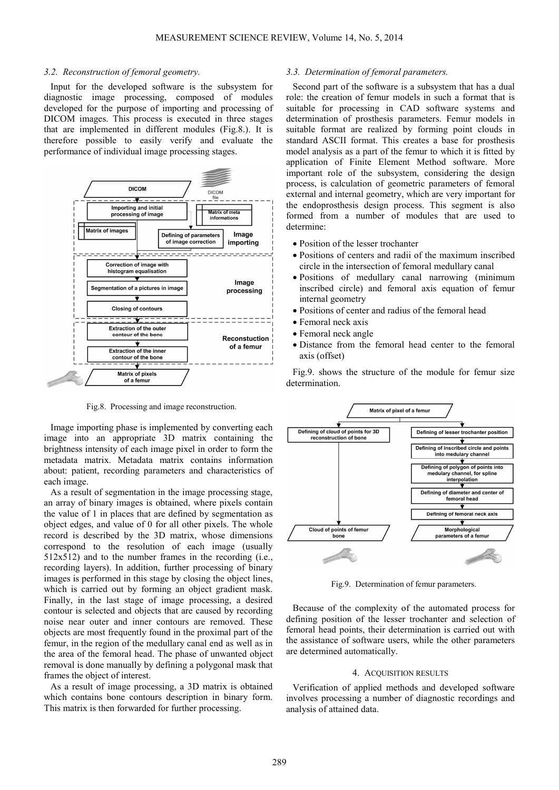#### *3.2. Reconstruction of femoral geometry.*

Input for the developed software is the subsystem for diagnostic image processing, composed of modules developed for the purpose of importing and processing of DICOM images. This process is executed in three stages that are implemented in different modules (Fig.8.). It is therefore possible to easily verify and evaluate the performance of individual image processing stages.



Fig.8. Processing and image reconstruction.

Image importing phase is implemented by converting each image into an appropriate 3D matrix containing the brightness intensity of each image pixel in order to form the metadata matrix. Metadata matrix contains information about: patient, recording parameters and characteristics of each image.

As a result of segmentation in the image processing stage, an array of binary images is obtained, where pixels contain the value of 1 in places that are defined by segmentation as object edges, and value of 0 for all other pixels. The whole record is described by the 3D matrix, whose dimensions correspond to the resolution of each image (usually 512x512) and to the number frames in the recording (i.e., recording layers). In addition, further processing of binary images is performed in this stage by closing the object lines, which is carried out by forming an object gradient mask. Finally, in the last stage of image processing, a desired contour is selected and objects that are caused by recording noise near outer and inner contours are removed. These objects are most frequently found in the proximal part of the femur, in the region of the medullary canal end as well as in the area of the femoral head. The phase of unwanted object removal is done manually by defining a polygonal mask that frames the object of interest.

As a result of image processing, a 3D matrix is obtained which contains bone contours description in binary form. This matrix is then forwarded for further processing.

### *3.3. Determination of femoral parameters.*

Second part of the software is a subsystem that has a dual role: the creation of femur models in such a format that is suitable for processing in CAD software systems and determination of prosthesis parameters. Femur models in suitable format are realized by forming point clouds in standard ASCII format. This creates a base for prosthesis model analysis as a part of the femur to which it is fitted by application of Finite Element Method software. More important role of the subsystem, considering the design process, is calculation of geometric parameters of femoral external and internal geometry, which are very important for the endoprosthesis design process. This segment is also formed from a number of modules that are used to determine:

- Position of the lesser trochanter
- Positions of centers and radii of the maximum inscribed circle in the intersection of femoral medullary canal
- Positions of medullary canal narrowing (minimum inscribed circle) and femoral axis equation of femur internal geometry
- Positions of center and radius of the femoral head
- Femoral neck axis
- Femoral neck angle
- Distance from the femoral head center to the femoral axis (offset)

Fig.9. shows the structure of the module for femur size determination.



Fig.9. Determination of femur parameters.

Because of the complexity of the automated process for defining position of the lesser trochanter and selection of femoral head points, their determination is carried out with the assistance of software users, while the other parameters are determined automatically.

### 4. ACQUISITION RESULTS

Verification of applied methods and developed software involves processing a number of diagnostic recordings and analysis of attained data.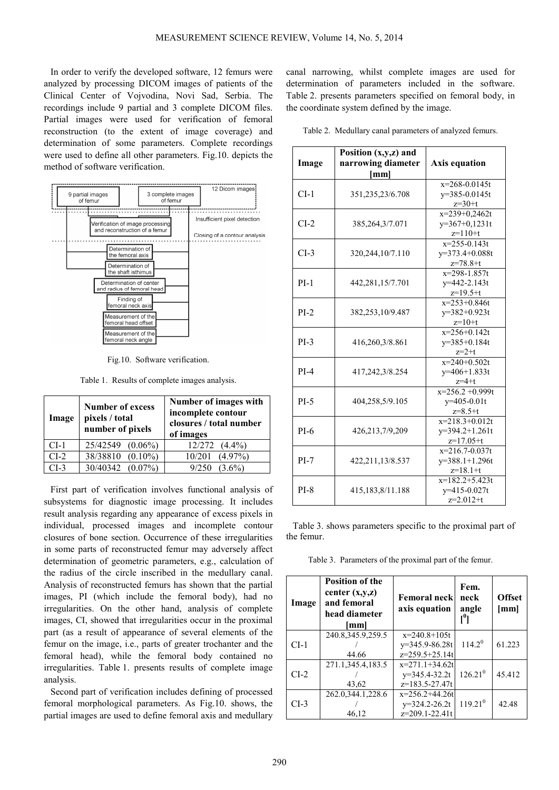In order to verify the developed software, 12 femurs were analyzed by processing DICOM images of patients of the Clinical Center of Vojvodina, Novi Sad, Serbia. The recordings include 9 partial and 3 complete DICOM files. Partial images were used for verification of femoral reconstruction (to the extent of image coverage) and determination of some parameters. Complete recordings were used to define all other parameters. Fig.10. depicts the method of software verification.



Fig.10. Software verification.

Table 1. Results of complete images analysis.

| Image  | <b>Number of excess</b><br>pixels / total<br>number of pixels | Number of images with<br>incomplete contour<br>closures / total number<br>of images |
|--------|---------------------------------------------------------------|-------------------------------------------------------------------------------------|
| $CI-1$ | 25/42549 (0.06%)                                              | 12/272<br>$(4.4\%)$                                                                 |
| $CI-2$ | 38/38810<br>$(0.10\%)$                                        | 10/201<br>$(4.97\%)$                                                                |
| CI-3   | 30/40342<br>$(0.07\%)$                                        |                                                                                     |

First part of verification involves functional analysis of subsystems for diagnostic image processing. It includes result analysis regarding any appearance of excess pixels in individual, processed images and incomplete contour closures of bone section. Occurrence of these irregularities in some parts of reconstructed femur may adversely affect determination of geometric parameters, e.g., calculation of the radius of the circle inscribed in the medullary canal. Analysis of reconstructed femurs has shown that the partial images, PI (which include the femoral body), had no irregularities. On the other hand, analysis of complete images, CI, showed that irregularities occur in the proximal part (as a result of appearance of several elements of the femur on the image, i.e., parts of greater trochanter and the femoral head), while the femoral body contained no irregularities. Table 1. presents results of complete image analysis.

Second part of verification includes defining of processed femoral morphological parameters. As Fig.10. shows, the partial images are used to define femoral axis and medullary canal narrowing, whilst complete images are used for determination of parameters included in the software. Table 2. presents parameters specified on femoral body, in the coordinate system defined by the image.

Table 2. Medullary canal parameters of analyzed femurs.

| Image  | Position (x,y,z) and<br>narrowing diameter<br>$\lceil$ mm | <b>Axis equation</b> |
|--------|-----------------------------------------------------------|----------------------|
|        |                                                           | $x=268-0.0145t$      |
| $CI-1$ | 351,235,23/6.708                                          | y=385-0.0145t        |
|        |                                                           | $z=30+t$             |
|        |                                                           | $x=239+0,2462t$      |
| $CI-2$ | 385,264,3/7.071                                           | $y=367+0,1231t$      |
|        |                                                           | $z=110+t$            |
|        |                                                           | $x=255-0.143t$       |
| $CI-3$ | 320,244,10/7.110                                          | $y=373.4+0.088t$     |
|        |                                                           | $z=78.8+t$           |
|        |                                                           | $x=298-1.857t$       |
| $PI-1$ | 442,281,15/7.701                                          | $y=442-2.143t$       |
|        |                                                           | $z=19.5+t$           |
|        |                                                           | $x=253+0.846t$       |
| $PI-2$ | 382,253,10/9.487                                          | $y=382+0.923t$       |
|        |                                                           | $z=10+t$             |
|        |                                                           | $x=256+0.142t$       |
| $PI-3$ | 416,260,3/8.861                                           | $y=385+0.184t$       |
|        |                                                           | $z=2+t$              |
|        |                                                           | $x=240+0.502t$       |
| $PI-4$ | 417,242,3/8.254                                           | $y=406+1.833t$       |
|        |                                                           | $z=4+t$              |
|        |                                                           | $x=256.2 + 0.999t$   |
| $PI-5$ | 404,258,5/9.105                                           | $y=405-0.01t$        |
|        |                                                           | $z = 8.5 + t$        |
|        |                                                           | $x=218.3+0.012t$     |
| PI-6   | 426,213,7/9,209                                           | y=394.2+1.261t       |
|        |                                                           | $z=17.05+t$          |
|        |                                                           | $x=216.7-0.037t$     |
| $PI-7$ | 422,211,13/8.537                                          | $y=388.1+1.296t$     |
|        |                                                           | $z=18.1+t$           |
|        |                                                           | $x=182.2+5.423t$     |
| $PI-8$ | 415,183,8/11.188                                          | $v=415-0.027t$       |
|        |                                                           | $z=2.012+t$          |

Table 3. shows parameters specific to the proximal part of the femur.

Table 3. Parameters of the proximal part of the femur.

| Image  | <b>Position of the</b><br>center $(x,y,z)$<br>and femoral<br>head diameter<br> mml | Femoral neckl<br>axis equation                        | Fem.<br>neck<br>angle | <b>Offset</b><br>[mm] |
|--------|------------------------------------------------------------------------------------|-------------------------------------------------------|-----------------------|-----------------------|
| CI-1   | 240.8,345.9,259.5<br>44.66                                                         | $x=240.8+105t$<br>$v=345.9-86.28t$<br>z=259.5+25.14t  | $114.2^0$             | 61.223                |
| $CI-2$ | 271.1.345.4.183.5<br>43,62                                                         | $x=271.1+34.62t$<br>$y=345.4-32.2t$<br>z=183.5-27.47t | $126.21^{0}$          | 45.412                |
| CI-3   | 262.0.344.1.228.6<br>46,12                                                         | $x=256.2+44.26t$<br>$y=324.2-26.2t$<br>z=209.1-22.41t | $119.21^{0}$          | 42.48                 |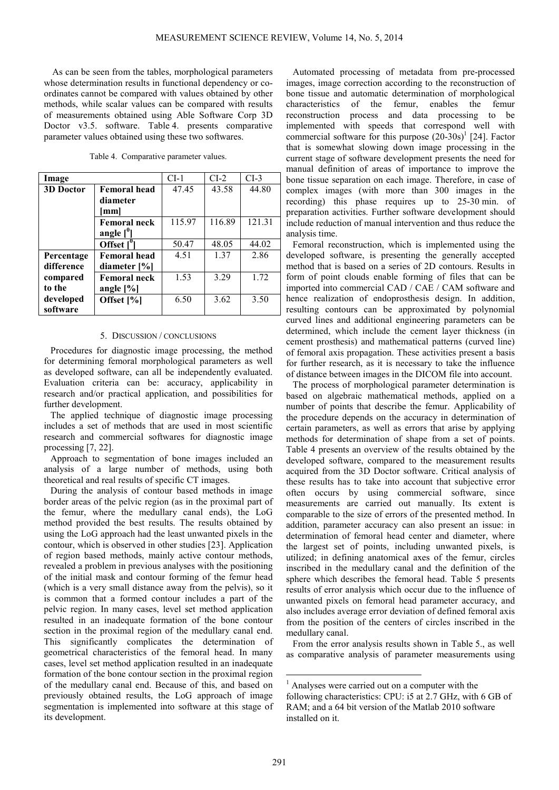As can be seen from the tables, morphological parameters whose determination results in functional dependency or coordinates cannot be compared with values obtained by other methods, while scalar values can be compared with results of measurements obtained using Able Software Corp 3D Doctor v3.5. software. Table 4. presents comparative parameter values obtained using these two softwares.

Table 4. Comparative parameter values.

| Image            |                          | $CI-1$ | $CI-2$ | $CI-3$ |
|------------------|--------------------------|--------|--------|--------|
| <b>3D Doctor</b> | <b>Femoral head</b>      | 47.45  | 43.58  | 44.80  |
|                  | diameter                 |        |        |        |
|                  | [mml                     |        |        |        |
|                  | <b>Femoral neck</b>      | 115.97 | 116.89 | 121.31 |
|                  | angle $[$ <sup>0</sup> l |        |        |        |
|                  | Offset $[^0]$            | 50.47  | 48.05  | 44.02  |
| Percentage       | <b>Femoral head</b>      | 4.51   | 1.37   | 2.86   |
| difference       | diameter [%]             |        |        |        |
| compared         | <b>Femoral neck</b>      | 1.53   | 3.29   | 1.72   |
| to the           | angle $[\%]$             |        |        |        |
| developed        | Offset [%]               | 6.50   | 3.62   | 3.50   |
| software         |                          |        |        |        |

### 5. DISCUSSION / CONCLUSIONS

Procedures for diagnostic image processing, the method for determining femoral morphological parameters as well as developed software, can all be independently evaluated. Evaluation criteria can be: accuracy, applicability in research and/or practical application, and possibilities for further development.

The applied technique of diagnostic image processing includes a set of methods that are used in most scientific research and commercial softwares for diagnostic image processing [7, 22].

Approach to segmentation of bone images included an analysis of a large number of methods, using both theoretical and real results of specific CT images.

During the analysis of contour based methods in image border areas of the pelvic region (as in the proximal part of the femur, where the medullary canal ends), the LoG method provided the best results. The results obtained by using the LoG approach had the least unwanted pixels in the contour, which is observed in other studies [23]. Application of region based methods, mainly active contour methods, revealed a problem in previous analyses with the positioning of the initial mask and contour forming of the femur head (which is a very small distance away from the pelvis), so it is common that a formed contour includes a part of the pelvic region. In many cases, level set method application resulted in an inadequate formation of the bone contour section in the proximal region of the medullary canal end. This significantly complicates the determination of geometrical characteristics of the femoral head. In many cases, level set method application resulted in an inadequate formation of the bone contour section in the proximal region of the medullary canal end. Because of this, and based on previously obtained results, the LoG approach of image segmentation is implemented into software at this stage of its development.

Automated processing of metadata from pre-processed images, image correction according to the reconstruction of bone tissue and automatic determination of morphological characteristics of the femur, enables the femur reconstruction process and data processing to be implemented with speeds that correspond well with commercial software for this purpose  $(20-30s)^{1}$  [24]. Factor that is somewhat slowing down image processing in the current stage of software development presents the need for manual definition of areas of importance to improve the bone tissue separation on each image. Therefore, in case of complex images (with more than 300 images in the recording) this phase requires up to 25-30 min. of preparation activities. Further software development should include reduction of manual intervention and thus reduce the analysis time.

Femoral reconstruction, which is implemented using the developed software, is presenting the generally accepted method that is based on a series of 2D contours. Results in form of point clouds enable forming of files that can be imported into commercial CAD / CAE / CAM software and hence realization of endoprosthesis design. In addition, resulting contours can be approximated by polynomial curved lines and additional engineering parameters can be determined, which include the cement layer thickness (in cement prosthesis) and mathematical patterns (curved line) of femoral axis propagation. These activities present a basis for further research, as it is necessary to take the influence of distance between images in the DICOM file into account.

The process of morphological parameter determination is based on algebraic mathematical methods, applied on a number of points that describe the femur. Applicability of the procedure depends on the accuracy in determination of certain parameters, as well as errors that arise by applying methods for determination of shape from a set of points. Table 4 presents an overview of the results obtained by the developed software, compared to the measurement results acquired from the 3D Doctor software. Critical analysis of these results has to take into account that subjective error often occurs by using commercial software, since measurements are carried out manually. Its extent is comparable to the size of errors of the presented method. In addition, parameter accuracy can also present an issue: in determination of femoral head center and diameter, where the largest set of points, including unwanted pixels, is utilized; in defining anatomical axes of the femur, circles inscribed in the medullary canal and the definition of the sphere which describes the femoral head. Table 5 presents results of error analysis which occur due to the influence of unwanted pixels on femoral head parameter accuracy, and also includes average error deviation of defined femoral axis from the position of the centers of circles inscribed in the medullary canal.

From the error analysis results shown in Table 5., as well as comparative analysis of parameter measurements using

1

<sup>1</sup> Analyses were carried out on a computer with the following characteristics: CPU: i5 at 2.7 GHz, with 6 GB of RAM; and a 64 bit version of the Matlab 2010 software installed on it.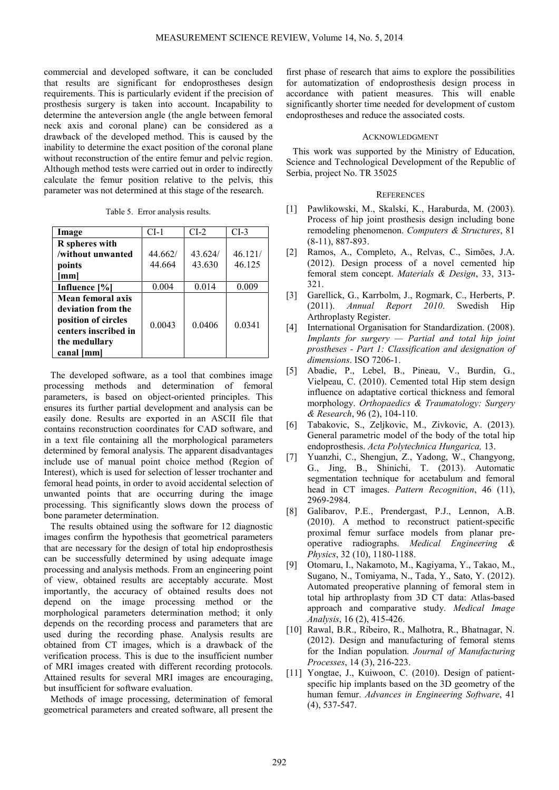commercial and developed software, it can be concluded that results are significant for endoprostheses design requirements. This is particularly evident if the precision of prosthesis surgery is taken into account. Incapability to determine the anteversion angle (the angle between femoral neck axis and coronal plane) can be considered as a drawback of the developed method. This is caused by the inability to determine the exact position of the coronal plane without reconstruction of the entire femur and pelvic region. Although method tests were carried out in order to indirectly calculate the femur position relative to the pelvis, this parameter was not determined at this stage of the research.

Table 5. Error analysis results.

| Image                 | CL1     | $CI-2$  | $CI-3$  |
|-----------------------|---------|---------|---------|
| <b>R</b> spheres with |         |         |         |
| without unwanted      | 44.662/ | 43.624/ | 46.121/ |
| points                | 44.664  | 43.630  | 46.125  |
| [mm]                  |         |         |         |
| Influence [%]         | 0.004   | 0.014   | 0.009   |
| Mean femoral axis     |         |         |         |
| deviation from the    |         |         |         |
| position of circles   | 0.0043  | 0.0406  | 0.0341  |
| centers inscribed in  |         |         |         |
| the medullary         |         |         |         |
| canal [mm]            |         |         |         |

The developed software, as a tool that combines image processing methods and determination of femoral parameters, is based on object-oriented principles. This ensures its further partial development and analysis can be easily done. Results are exported in an ASCII file that contains reconstruction coordinates for CAD software, and in a text file containing all the morphological parameters determined by femoral analysis. The apparent disadvantages include use of manual point choice method (Region of Interest), which is used for selection of lesser trochanter and femoral head points, in order to avoid accidental selection of unwanted points that are occurring during the image processing. This significantly slows down the process of bone parameter determination.

The results obtained using the software for 12 diagnostic images confirm the hypothesis that geometrical parameters that are necessary for the design of total hip endoprosthesis can be successfully determined by using adequate image processing and analysis methods. From an engineering point of view, obtained results are acceptably accurate. Most importantly, the accuracy of obtained results does not depend on the image processing method or the morphological parameters determination method; it only depends on the recording process and parameters that are used during the recording phase. Analysis results are obtained from CT images, which is a drawback of the verification process. This is due to the insufficient number of MRI images created with different recording protocols. Attained results for several MRI images are encouraging, but insufficient for software evaluation.

Methods of image processing, determination of femoral geometrical parameters and created software, all present the

first phase of research that aims to explore the possibilities for automatization of endoprosthesis design process in accordance with patient measures. This will enable significantly shorter time needed for development of custom endoprostheses and reduce the associated costs.

### ACKNOWLEDGMENT

This work was supported by the Ministry of Education, Science and Technological Development of the Republic of Serbia, project No. TR 35025

### **REFERENCES**

- [1] Pawlikowski, M., Skalski, K., Haraburda, M. (2003). Process of hip joint prosthesis design including bone remodeling phenomenon. *Computers & Structures*, 81 (8-11), 887-893.
- [2] Ramos, A., Completo, A., Relvas, C., Simões, J.A. (2012). Design process of a novel cemented hip femoral stem concept. *Materials & Design*, 33, 313- 321.
- [3] Garellick, G., Karrbolm, J., Rogmark, C., Herberts, P. (2011). *Annual Report 2010*. Swedish Hip Arthroplasty Register.
- [4] International Organisation for Standardization. (2008). *Implants for surgery — Partial and total hip joint prostheses - Part 1: Classification and designation of dimensions*. ISO 7206-1.
- [5] Abadie, P., Lebel, B., Pineau, V., Burdin, G., Vielpeau, C. (2010). Cemented total Hip stem design influence on adaptative cortical thickness and femoral morphology. *Orthopaedics & Traumatology: Surgery & Research*, 96 (2), 104-110.
- [6] Tabakovic, S., Zeljkovic, M., Zivkovic, A. (2013). General parametric model of the body of the total hip endoprosthesis. *Acta Polytechnica Hungarica,* 13.
- [7] Yuanzhi, C., Shengjun, Z., Yadong, W., Changyong, G., Jing, B., Shinichi, T. (2013). Automatic segmentation technique for acetabulum and femoral head in CT images. *Pattern Recognition*, 46 (11), 2969-2984.
- [8] Galibarov, P.E., Prendergast, P.J., Lennon, A.B. (2010). A method to reconstruct patient-specific proximal femur surface models from planar preoperative radiographs. *Medical Engineering & Physics*, 32 (10), 1180-1188.
- [9] Otomaru, I., Nakamoto, M., Kagiyama, Y., Takao, M., Sugano, N., Tomiyama, N., Tada, Y., Sato, Y. (2012). Automated preoperative planning of femoral stem in total hip arthroplasty from 3D CT data: Atlas-based approach and comparative study. *Medical Image Analysis*, 16 (2), 415-426.
- [10] Rawal, B.R., Ribeiro, R., Malhotra, R., Bhatnagar, N. (2012). Design and manufacturing of femoral stems for the Indian population. *Journal of Manufacturing Processes*, 14 (3), 216-223.
- [11] Yongtae, J., Kuiwoon, C. (2010). Design of patientspecific hip implants based on the 3D geometry of the human femur. *Advances in Engineering Software*, 41 (4), 537-547.